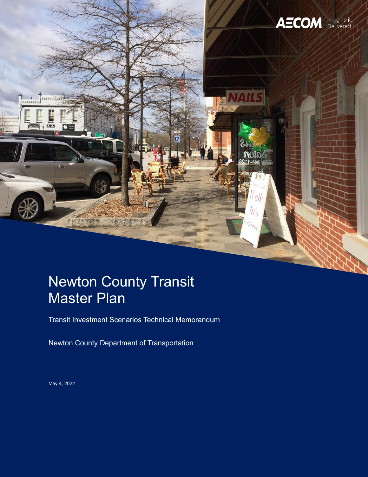

## Newton County Transit Master Plan

Transit Investment Scenarios Technical Memorandum

Newton County Department of Transportation

May 4, 2022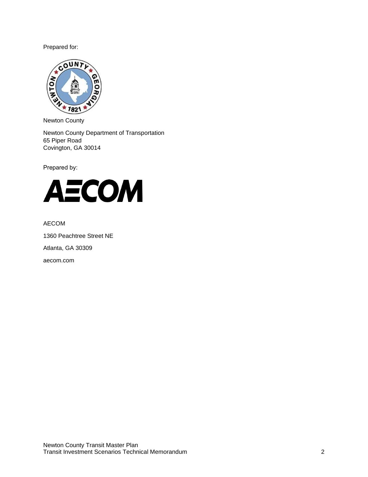Prepared for:



Newton County

Newton County Department of Transportation 65 Piper Road Covington, GA 30014

Prepared by:



AECOM

1360 Peachtree Street NE Atlanta, GA 30309 aecom.com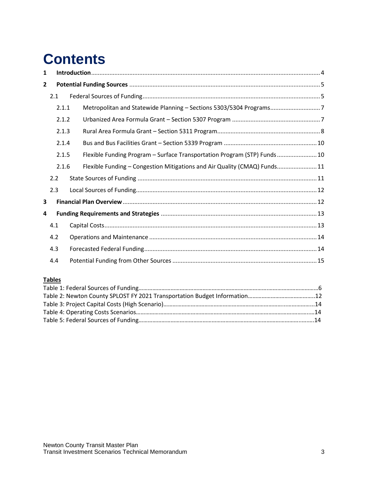# **Contents**

| 1            |     |       |                                                                           |  |
|--------------|-----|-------|---------------------------------------------------------------------------|--|
| $\mathbf{2}$ |     |       |                                                                           |  |
|              | 2.1 |       |                                                                           |  |
|              |     | 2.1.1 | Metropolitan and Statewide Planning - Sections 5303/5304 Programs7        |  |
|              |     | 2.1.2 |                                                                           |  |
|              |     | 2.1.3 |                                                                           |  |
|              |     | 2.1.4 |                                                                           |  |
|              |     | 2.1.5 | Flexible Funding Program - Surface Transportation Program (STP) Funds 10  |  |
|              |     | 2.1.6 | Flexible Funding - Congestion Mitigations and Air Quality (CMAQ) Funds 11 |  |
|              | 2.2 |       |                                                                           |  |
|              | 2.3 |       |                                                                           |  |
| 3            |     |       |                                                                           |  |
| 4            |     |       |                                                                           |  |
|              | 4.1 |       |                                                                           |  |
|              | 4.2 |       |                                                                           |  |
|              | 4.3 |       |                                                                           |  |
|              | 4.4 |       |                                                                           |  |

#### **Tables**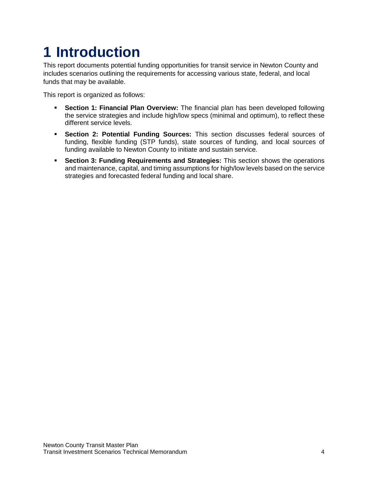## <span id="page-3-0"></span>**1 Introduction**

This report documents potential funding opportunities for transit service in Newton County and includes scenarios outlining the requirements for accessing various state, federal, and local funds that may be available.

This report is organized as follows:

- **Section 1: Financial Plan Overview:** The financial plan has been developed following the service strategies and include high/low specs (minimal and optimum), to reflect these different service levels.
- **Section 2: Potential Funding Sources:** This section discusses federal sources of funding, flexible funding (STP funds), state sources of funding, and local sources of funding available to Newton County to initiate and sustain service.
- **Section 3: Funding Requirements and Strategies:** This section shows the operations and maintenance, capital, and timing assumptions for high/low levels based on the service strategies and forecasted federal funding and local share.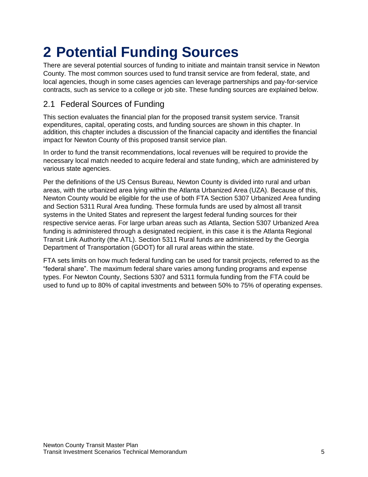# <span id="page-4-0"></span>**2 Potential Funding Sources**

There are several potential sources of funding to initiate and maintain transit service in Newton County. The most common sources used to fund transit service are from federal, state, and local agencies, though in some cases agencies can leverage partnerships and pay-for-service contracts, such as service to a college or job site. These funding sources are explained below.

## <span id="page-4-1"></span>2.1 Federal Sources of Funding

This section evaluates the financial plan for the proposed transit system service. Transit expenditures, capital, operating costs, and funding sources are shown in this chapter. In addition, this chapter includes a discussion of the financial capacity and identifies the financial impact for Newton County of this proposed transit service plan.

In order to fund the transit recommendations, local revenues will be required to provide the necessary local match needed to acquire federal and state funding, which are administered by various state agencies.

Per the definitions of the US Census Bureau, Newton County is divided into rural and urban areas, with the urbanized area lying within the Atlanta Urbanized Area (UZA). Because of this, Newton County would be eligible for the use of both FTA Section 5307 Urbanized Area funding and Section 5311 Rural Area funding. These formula funds are used by almost all transit systems in the United States and represent the largest federal funding sources for their respective service aeras. For large urban areas such as Atlanta, Section 5307 Urbanized Area funding is administered through a designated recipient, in this case it is the Atlanta Regional Transit Link Authority (the ATL). Section 5311 Rural funds are administered by the Georgia Department of Transportation (GDOT) for all rural areas within the state.

FTA sets limits on how much federal funding can be used for transit projects, referred to as the "federal share". The maximum federal share varies among funding programs and expense types. For Newton County, Sections 5307 and 5311 formula funding from the FTA could be used to fund up to 80% of capital investments and between 50% to 75% of operating expenses.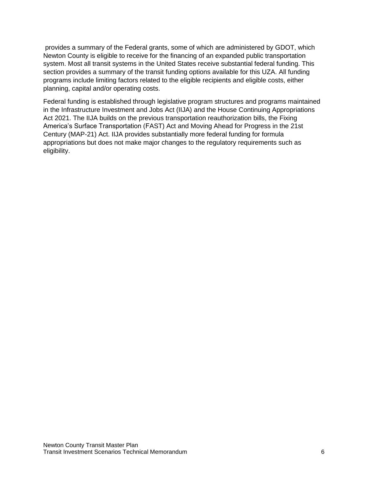provides a summary of the Federal grants, some of which are administered by GDOT, which Newton County is eligible to receive for the financing of an expanded public transportation system. Most all transit systems in the United States receive substantial federal funding. This section provides a summary of the transit funding options available for this UZA. All funding programs include limiting factors related to the eligible recipients and eligible costs, either planning, capital and/or operating costs.

Federal funding is established through legislative program structures and programs maintained in the Infrastructure Investment and Jobs Act (IIJA) and the House Continuing Appropriations Act 2021. The IIJA builds on the previous transportation reauthorization bills, the Fixing America's Surface Transportation (FAST) Act and Moving Ahead for Progress in the 21st Century (MAP-21) Act. IIJA provides substantially more federal funding for formula appropriations but does not make major changes to the regulatory requirements such as eligibility.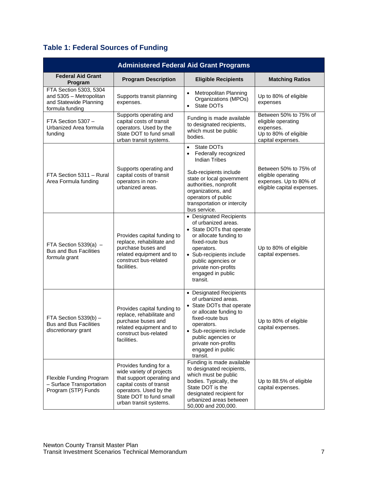## **Table 1: Federal Sources of Funding**

| <b>Administered Federal Aid Grant Programs</b>                                                 |                                                                                                                                                                                             |                                                                                                                                                                                                                                                                   |                                                                                                        |  |  |  |  |  |
|------------------------------------------------------------------------------------------------|---------------------------------------------------------------------------------------------------------------------------------------------------------------------------------------------|-------------------------------------------------------------------------------------------------------------------------------------------------------------------------------------------------------------------------------------------------------------------|--------------------------------------------------------------------------------------------------------|--|--|--|--|--|
| <b>Federal Aid Grant</b><br>Program                                                            | <b>Program Description</b>                                                                                                                                                                  | <b>Eligible Recipients</b>                                                                                                                                                                                                                                        | <b>Matching Ratios</b>                                                                                 |  |  |  |  |  |
| FTA Section 5303, 5304<br>and 5305 - Metropolitan<br>and Statewide Planning<br>formula funding | Supports transit planning<br>expenses.                                                                                                                                                      | Metropolitan Planning<br>$\bullet$<br>Organizations (MPOs)<br>State DOTs<br>$\bullet$                                                                                                                                                                             | Up to 80% of eligible<br>expenses                                                                      |  |  |  |  |  |
| FTA Section 5307 -<br>Urbanized Area formula<br>funding                                        | Supports operating and<br>capital costs of transit<br>operators. Used by the<br>State DOT to fund small<br>urban transit systems.                                                           | Funding is made available<br>to designated recipients,<br>which must be public<br>bodies.                                                                                                                                                                         | Between 50% to 75% of<br>eligible operating<br>expenses.<br>Up to 80% of eligible<br>capital expenses. |  |  |  |  |  |
| FTA Section 5311 - Rural<br>Area Formula funding                                               | Supports operating and<br>capital costs of transit<br>operators in non-<br>urbanized areas.                                                                                                 | State DOTs<br>$\bullet$<br>Federally recognized<br>$\bullet$<br><b>Indian Tribes</b><br>Sub-recipients include<br>state or local government<br>authorities, nonprofit<br>organizations, and<br>operators of public<br>transportation or intercity<br>bus service. | Between 50% to 75% of<br>eligible operating<br>expenses. Up to 80% of<br>eligible capital expenses.    |  |  |  |  |  |
| FTA Section 5339(a) $-$<br><b>Bus and Bus Facilities</b><br>formula grant                      | Provides capital funding to<br>replace, rehabilitate and<br>purchase buses and<br>related equipment and to<br>construct bus-related<br>facilities.                                          | • Designated Recipients<br>of urbanized areas.<br>• State DOTs that operate<br>or allocate funding to<br>fixed-route bus<br>operators.<br>• Sub-recipients include<br>public agencies or<br>private non-profits<br>engaged in public<br>transit.                  | Up to 80% of eligible<br>capital expenses.                                                             |  |  |  |  |  |
| FTA Section 5339(b) -<br><b>Bus and Bus Facilities</b><br>discretionary grant                  | Provides capital funding to<br>replace, rehabilitate and<br>purchase buses and<br>related equipment and to<br>construct bus-related<br>facilities.                                          | • Designated Recipients<br>of urbanized areas.<br>• State DOTs that operate<br>or allocate funding to<br>fixed-route bus<br>operators.<br>• Sub-recipients include<br>public agencies or<br>private non-profits<br>engaged in public<br>transit.                  | Up to 80% of eligible<br>capital expenses.                                                             |  |  |  |  |  |
| Flexible Funding Program<br>- Surface Transportation<br>Program (STP) Funds                    | Provides funding for a<br>wide variety of projects<br>that support operating and<br>capital costs of transit<br>operators. Used by the<br>State DOT to fund small<br>urban transit systems. | Funding is made available<br>to designated recipients,<br>which must be public<br>bodies. Typically, the<br>State DOT is the<br>designated recipient for<br>urbanized areas between<br>50,000 and 200,000.                                                        | Up to 88.5% of eligible<br>capital expenses.                                                           |  |  |  |  |  |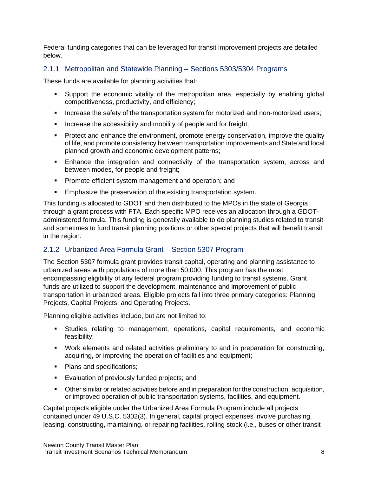Federal funding categories that can be leveraged for transit improvement projects are detailed below.

#### <span id="page-7-0"></span>2.1.1 Metropolitan and Statewide Planning – Sections 5303/5304 Programs

These funds are available for planning activities that:

- Support the economic vitality of the metropolitan area, especially by enabling global competitiveness, productivity, and efficiency;
- **Increase the safety of the transportation system for motorized and non-motorized users;**
- **EXEDENT** Increase the accessibility and mobility of people and for freight;
- **•** Protect and enhance the environment, promote energy conservation, improve the quality of life, and promote consistency between transportation improvements and State and local planned growth and economic development patterns;
- **Enhance the integration and connectivity of the transportation system, across and** between modes, for people and freight;
- **Promote efficient system management and operation; and**
- **Emphasize the preservation of the existing transportation system.**

This funding is allocated to GDOT and then distributed to the MPOs in the state of Georgia through a grant process with FTA. Each specific MPO receives an allocation through a GDOTadministered formula. This funding is generally available to do planning studies related to transit and sometimes to fund transit planning positions or other special projects that will benefit transit in the region.

#### <span id="page-7-1"></span>2.1.2 Urbanized Area Formula Grant – Section 5307 Program

The Section 5307 formula grant provides transit capital, operating and planning assistance to urbanized areas with populations of more than 50,000. This program has the most encompassing eligibility of any federal program providing funding to transit systems. Grant funds are utilized to support the development, maintenance and improvement of public transportation in urbanized areas. Eligible projects fall into three primary categories: Planning Projects, Capital Projects, and Operating Projects.

Planning eligible activities include, but are not limited to:

- Studies relating to management, operations, capital requirements, and economic feasibility;
- Work elements and related activities preliminary to and in preparation for constructing, acquiring, or improving the operation of facilities and equipment;
- Plans and specifications;
- **Exaluation of previously funded projects; and**
- **•** Other similar or related activities before and in preparation for the construction, acquisition, or improved operation of public transportation systems, facilities, and equipment.

Capital projects eligible under the Urbanized Area Formula Program include all projects contained under 49 U.S.C. 5302(3). In general, capital project expenses involve purchasing, leasing, constructing, maintaining, or repairing facilities, rolling stock (i.e., buses or other transit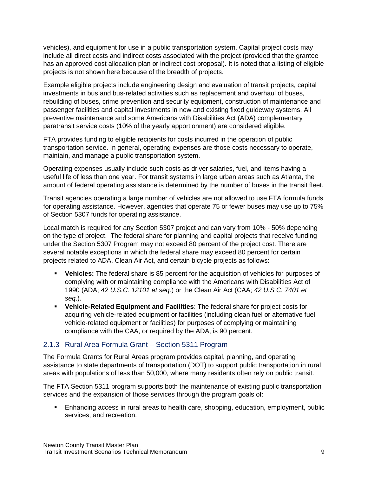vehicles), and equipment for use in a public transportation system. Capital project costs may include all direct costs and indirect costs associated with the project (provided that the grantee has an approved cost allocation plan or indirect cost proposal). It is noted that a listing of eligible projects is not shown here because of the breadth of projects.

Example eligible projects include engineering design and evaluation of transit projects, capital investments in bus and bus-related activities such as replacement and overhaul of buses, rebuilding of buses, crime prevention and security equipment, construction of maintenance and passenger facilities and capital investments in new and existing fixed guideway systems. All preventive maintenance and some Americans with Disabilities Act (ADA) complementary paratransit service costs (10% of the yearly apportionment) are considered eligible.

FTA provides funding to eligible recipients for costs incurred in the operation of public transportation service. In general, operating expenses are those costs necessary to operate, maintain, and manage a public transportation system.

Operating expenses usually include such costs as driver salaries, fuel, and items having a useful life of less than one year. For transit systems in large urban areas such as Atlanta, the amount of federal operating assistance is determined by the number of buses in the transit fleet.

Transit agencies operating a large number of vehicles are not allowed to use FTA formula funds for operating assistance. However, agencies that operate 75 or fewer buses may use up to 75% of Section 5307 funds for operating assistance.

Local match is required for any Section 5307 project and can vary from 10% - 50% depending on the type of project. The federal share for planning and capital projects that receive funding under the Section 5307 Program may not exceed 80 percent of the project cost. There are several notable exceptions in which the federal share may exceed 80 percent for certain projects related to ADA, Clean Air Act, and certain bicycle projects as follows:

- **Vehicles:** The federal share is 85 percent for the acquisition of vehicles for purposes of complying with or maintaining compliance with the Americans with Disabilities Act of 1990 (ADA; *42 U.S.C. 12101 et seq.*) or the Clean Air Act (CAA; *42 U.S.C. 7401 et seq*.).
- **Vehicle-Related Equipment and Facilities**: The federal share for project costs for acquiring vehicle-related equipment or facilities (including clean fuel or alternative fuel vehicle-related equipment or facilities) for purposes of complying or maintaining compliance with the CAA, or required by the ADA, is 90 percent.

#### <span id="page-8-0"></span>2.1.3 Rural Area Formula Grant – Section 5311 Program

The Formula Grants for Rural Areas program provides capital, planning, and operating assistance to state departments of transportation (DOT) to support public transportation in rural areas with populations of less than 50,000, where many residents often rely on public transit.

The FTA Section 5311 program supports both the maintenance of existing public transportation services and the expansion of those services through the program goals of:

Enhancing access in rural areas to health care, shopping, education, employment, public services, and recreation.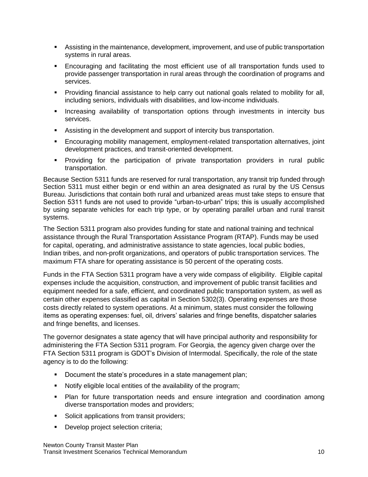- Assisting in the maintenance, development, improvement, and use of public transportation systems in rural areas.
- Encouraging and facilitating the most efficient use of all transportation funds used to provide passenger transportation in rural areas through the coordination of programs and services.
- Providing financial assistance to help carry out national goals related to mobility for all, including seniors, individuals with disabilities, and low-income individuals.
- **■** Increasing availability of transportation options through investments in intercity bus services.
- Assisting in the development and support of intercity bus transportation.
- Encouraging mobility management, employment-related transportation alternatives, joint development practices, and transit-oriented development.
- Providing for the participation of private transportation providers in rural public transportation.

Because Section 5311 funds are reserved for rural transportation, any transit trip funded through Section 5311 must either begin or end within an area designated as rural by the US Census Bureau. Jurisdictions that contain both rural and urbanized areas must take steps to ensure that Section 5311 funds are not used to provide "urban-to-urban" trips; this is usually accomplished by using separate vehicles for each trip type, or by operating parallel urban and rural transit systems.

The Section 5311 program also provides funding for state and national training and technical assistance through the Rural Transportation Assistance Program (RTAP). Funds may be used for capital, operating, and administrative assistance to state agencies, local public bodies, Indian tribes, and non-profit organizations, and operators of public transportation services. The maximum FTA share for operating assistance is 50 percent of the operating costs.

Funds in the FTA Section 5311 program have a very wide compass of eligibility. Eligible capital expenses include the acquisition, construction, and improvement of public transit facilities and equipment needed for a safe, efficient, and coordinated public transportation system, as well as certain other expenses classified as capital in Section 5302(3). Operating expenses are those costs directly related to system operations. At a minimum, states must consider the following items as operating expenses: fuel, oil, drivers' salaries and fringe benefits, dispatcher salaries and fringe benefits, and licenses.

The governor designates a state agency that will have principal authority and responsibility for administering the FTA Section 5311 program. For Georgia, the agency given charge over the FTA Section 5311 program is GDOT's Division of Intermodal. Specifically, the role of the state agency is to do the following:

- Document the state's procedures in a state management plan;
- Notify eligible local entities of the availability of the program;
- Plan for future transportation needs and ensure integration and coordination among diverse transportation modes and providers;
- Solicit applications from transit providers;
- **•** Develop project selection criteria;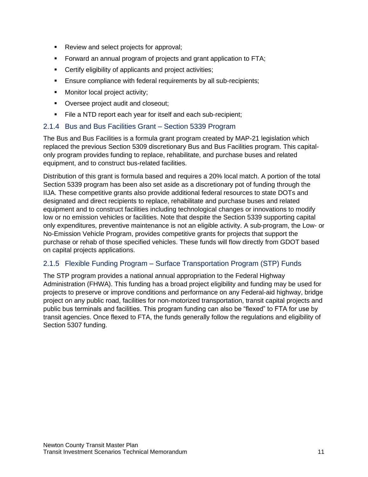- Review and select projects for approval;
- **EXECT** Forward an annual program of projects and grant application to FTA;
- Certify eligibility of applicants and project activities;
- **Ensure compliance with federal requirements by all sub-recipients;**
- Monitor local project activity;
- Oversee project audit and closeout;
- **EXTER** File a NTD report each year for itself and each sub-recipient;

#### <span id="page-10-0"></span>2.1.4 Bus and Bus Facilities Grant – Section 5339 Program

The Bus and Bus Facilities is a formula grant program created by MAP-21 legislation which replaced the previous Section 5309 discretionary Bus and Bus Facilities program. This capitalonly program provides funding to replace, rehabilitate, and purchase buses and related equipment, and to construct bus-related facilities.

Distribution of this grant is formula based and requires a 20% local match. A portion of the total Section 5339 program has been also set aside as a discretionary pot of funding through the IIJA. These competitive grants also provide additional federal resources to state DOTs and designated and direct recipients to replace, rehabilitate and purchase buses and related equipment and to construct facilities including technological changes or innovations to modify low or no emission vehicles or facilities. Note that despite the Section 5339 supporting capital only expenditures, preventive maintenance is not an eligible activity. A sub-program, the Low- or No-Emission Vehicle Program, provides competitive grants for projects that support the purchase or rehab of those specified vehicles. These funds will flow directly from GDOT based on capital projects applications.

#### <span id="page-10-1"></span>2.1.5 Flexible Funding Program – Surface Transportation Program (STP) Funds

The STP program provides a national annual appropriation to the Federal Highway Administration (FHWA). This funding has a broad project eligibility and funding may be used for projects to preserve or improve conditions and performance on any Federal-aid highway, bridge project on any public road, facilities for non-motorized transportation, transit capital projects and public bus terminals and facilities. This program funding can also be "flexed" to FTA for use by transit agencies. Once flexed to FTA, the funds generally follow the regulations and eligibility of Section 5307 funding.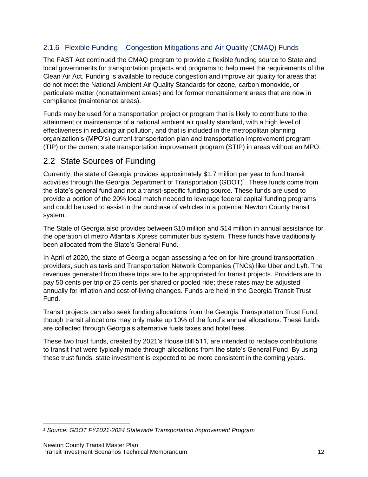#### <span id="page-11-0"></span>2.1.6 Flexible Funding – Congestion Mitigations and Air Quality (CMAQ) Funds

The FAST Act continued the CMAQ program to provide a flexible funding source to State and local governments for transportation projects and programs to help meet the requirements of the Clean Air Act. Funding is available to reduce congestion and improve air quality for areas that do not meet the National Ambient Air Quality Standards for ozone, carbon monoxide, or particulate matter (nonattainment areas) and for former nonattainment areas that are now in compliance (maintenance areas).

Funds may be used for a transportation project or program that is likely to contribute to the attainment or maintenance of a national ambient air quality standard, with a high level of effectiveness in reducing air pollution, and that is included in the metropolitan planning organization's (MPO's) current transportation plan and transportation improvement program (TIP) or the current state transportation improvement program (STIP) in areas without an MPO.

### <span id="page-11-1"></span>2.2 State Sources of Funding

Currently, the state of Georgia provides approximately \$1.7 million per year to fund transit activities through the Georgia Department of Transportation (GDOT)<sup>1</sup>. These funds come from the state's general fund and not a transit-specific funding source. These funds are used to provide a portion of the 20% local match needed to leverage federal capital funding programs and could be used to assist in the purchase of vehicles in a potential Newton County transit system.

The State of Georgia also provides between \$10 million and \$14 million in annual assistance for the operation of metro Atlanta's Xpress commuter bus system. These funds have traditionally been allocated from the State's General Fund.

In April of 2020, the state of Georgia began assessing a fee on for-hire ground transportation providers, such as taxis and Transportation Network Companies (TNCs) like Uber and Lyft. The revenues generated from these trips are to be appropriated for transit projects. Providers are to pay 50 cents per trip or 25 cents per shared or pooled ride; these rates may be adjusted annually for inflation and cost-of-living changes. Funds are held in the Georgia Transit Trust Fund.

Transit projects can also seek funding allocations from the Georgia Transportation Trust Fund, though transit allocations may only make up 10% of the fund's annual allocations. These funds are collected through Georgia's alternative fuels taxes and hotel fees.

These two trust funds, created by 2021's House Bill 511, are intended to replace contributions to transit that were typically made through allocations from the state's General Fund. By using these trust funds, state investment is expected to be more consistent in the coming years.

*<sup>1</sup> Source: GDOT FY2021-2024 Statewide Transportation Improvement Program*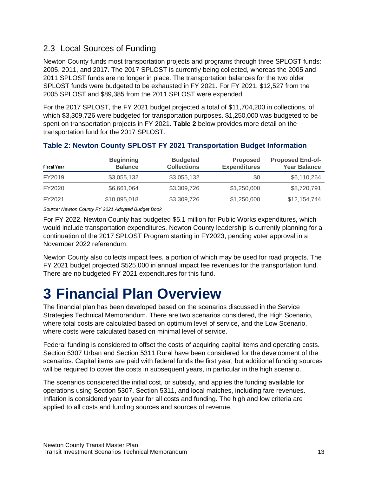## <span id="page-12-0"></span>2.3 Local Sources of Funding

Newton County funds most transportation projects and programs through three SPLOST funds: 2005, 2011, and 2017. The 2017 SPLOST is currently being collected, whereas the 2005 and 2011 SPLOST funds are no longer in place. The transportation balances for the two older SPLOST funds were budgeted to be exhausted in FY 2021. For FY 2021, \$12,527 from the 2005 SPLOST and \$89,385 from the 2011 SPLOST were expended.

For the 2017 SPLOST, the FY 2021 budget projected a total of \$11,704,200 in collections, of which \$3,309,726 were budgeted for transportation purposes. \$1,250,000 was budgeted to be spent on transportation projects in FY 2021. **[Table 2](#page-12-2)** below provides more detail on the transportation fund for the 2017 SPLOST.

| <b>Fiscal Year</b> | <b>Beginning</b><br><b>Balance</b> | <b>Budgeted</b><br><b>Collections</b> | <b>Proposed</b><br><b>Expenditures</b> | <b>Proposed End-of-</b><br><b>Year Balance</b> |
|--------------------|------------------------------------|---------------------------------------|----------------------------------------|------------------------------------------------|
| FY2019             | \$3,055,132                        | \$3,055,132                           | \$0                                    | \$6,110,264                                    |
| FY2020             | \$6,661,064                        | \$3,309,726                           | \$1,250,000                            | \$8,720,791                                    |
| FY2021             | \$10,095,018                       | \$3,309,726                           | \$1,250,000                            | \$12,154,744                                   |

#### <span id="page-12-2"></span>**Table 2: Newton County SPLOST FY 2021 Transportation Budget Information**

*Source: Newton County FY 2021 Adopted Budget Book*

For FY 2022, Newton County has budgeted \$5.1 million for Public Works expenditures, which would include transportation expenditures. Newton County leadership is currently planning for a continuation of the 2017 SPLOST Program starting in FY2023, pending voter approval in a November 2022 referendum.

Newton County also collects impact fees, a portion of which may be used for road projects. The FY 2021 budget projected \$525,000 in annual impact fee revenues for the transportation fund. There are no budgeted FY 2021 expenditures for this fund.

## <span id="page-12-1"></span>**3 Financial Plan Overview**

The financial plan has been developed based on the scenarios discussed in the Service Strategies Technical Memorandum. There are two scenarios considered, the High Scenario, where total costs are calculated based on optimum level of service, and the Low Scenario, where costs were calculated based on minimal level of service.

Federal funding is considered to offset the costs of acquiring capital items and operating costs. Section 5307 Urban and Section 5311 Rural have been considered for the development of the scenarios. Capital items are paid with federal funds the first year, but additional funding sources will be required to cover the costs in subsequent years, in particular in the high scenario.

The scenarios considered the initial cost, or subsidy, and applies the funding available for operations using Section 5307, Section 5311, and local matches, including fare revenues. Inflation is considered year to year for all costs and funding. The high and low criteria are applied to all costs and funding sources and sources of revenue.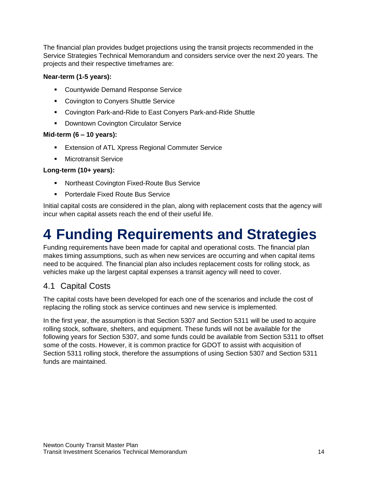The financial plan provides budget projections using the transit projects recommended in the Service Strategies Technical Memorandum and considers service over the next 20 years. The projects and their respective timeframes are:

#### **Near-term (1-5 years):**

- Countywide Demand Response Service
- Covington to Conyers Shuttle Service
- Covington Park-and-Ride to East Conyers Park-and-Ride Shuttle
- Downtown Covington Circulator Service

#### **Mid-term (6 – 10 years):**

- **Extension of ATL Xpress Regional Commuter Service**
- **■** Microtransit Service

#### **Long-term (10+ years):**

- Northeast Covington Fixed-Route Bus Service
- Porterdale Fixed Route Bus Service

Initial capital costs are considered in the plan, along with replacement costs that the agency will incur when capital assets reach the end of their useful life.

## <span id="page-13-0"></span>**4 Funding Requirements and Strategies**

Funding requirements have been made for capital and operational costs. The financial plan makes timing assumptions, such as when new services are occurring and when capital items need to be acquired. The financial plan also includes replacement costs for rolling stock, as vehicles make up the largest capital expenses a transit agency will need to cover.

## <span id="page-13-1"></span>4.1 Capital Costs

The capital costs have been developed for each one of the scenarios and include the cost of replacing the rolling stock as service continues and new service is implemented.

In the first year, the assumption is that Section 5307 and Section 5311 will be used to acquire rolling stock, software, shelters, and equipment. These funds will not be available for the following years for Section 5307, and some funds could be available from Section 5311 to offset some of the costs. However, it is common practice for GDOT to assist with acquisition of Section 5311 rolling stock, therefore the assumptions of using Section 5307 and Section 5311 funds are maintained.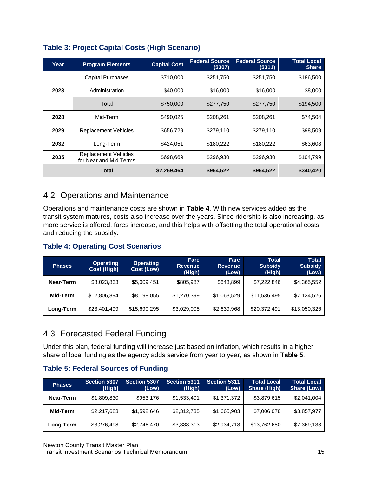| Year | <b>Program Elements</b>                               | <b>Capital Cost</b> | <b>Federal Source</b><br>(5307) | <b>Federal Source</b><br>(5311) | <b>Total Local</b><br><b>Share</b> |
|------|-------------------------------------------------------|---------------------|---------------------------------|---------------------------------|------------------------------------|
|      | <b>Capital Purchases</b>                              | \$710,000           | \$251,750                       | \$251,750                       | \$186,500                          |
| 2023 | Administration                                        | \$40,000            | \$16,000                        | \$16,000                        | \$8,000                            |
|      | Total                                                 | \$750,000           | \$277,750                       | \$277,750                       | \$194,500                          |
| 2028 | Mid-Term                                              | \$490,025           | \$208,261                       | \$208,261                       | \$74,504                           |
| 2029 | <b>Replacement Vehicles</b>                           | \$656,729           | \$279,110                       | \$279,110                       | \$98,509                           |
| 2032 | Long-Term                                             | \$424,051           | \$180,222                       | \$180,222                       | \$63,608                           |
| 2035 | <b>Replacement Vehicles</b><br>for Near and Mid Terms | \$698,669           | \$296,930                       | \$296,930                       | \$104,799                          |
|      | Total                                                 | \$2,269,464         | \$964,522                       | \$964,522                       | \$340,420                          |

### **Table 3: Project Capital Costs (High Scenario)**

## <span id="page-14-0"></span>4.2 Operations and Maintenance

Operations and maintenance costs are shown in **[Table 4](#page-14-2)**. With new services added as the transit system matures, costs also increase over the years. Since ridership is also increasing, as more service is offered, fares increase, and this helps with offsetting the total operational costs and reducing the subsidy.

#### <span id="page-14-2"></span>**Table 4: Operating Cost Scenarios**

| <b>Phases</b> | <b>Operating</b><br><b>Cost (High)</b> | <b>Operating</b><br>Cost (Low) | Fare<br><b>Revenue</b><br>(High) | Fare<br><b>Revenue</b><br>(Low) | Total<br><b>Subsidy</b><br>(High) | <b>Total</b><br><b>Subsidy</b><br>(Low) |
|---------------|----------------------------------------|--------------------------------|----------------------------------|---------------------------------|-----------------------------------|-----------------------------------------|
| Near-Term     | \$8,023,833                            | \$5,009,451                    | \$805,987                        | \$643,899                       | \$7,222,846                       | \$4,365,552                             |
| Mid-Term      | \$12,806,894                           | \$8,198,055                    | \$1,270,399                      | \$1,063,529                     | \$11,536,495                      | \$7,134,526                             |
| Long-Term     | \$23,401,499                           | \$15,690,295                   | \$3,029,008                      | \$2,639,968                     | \$20,372,491                      | \$13,050,326                            |

## <span id="page-14-1"></span>4.3 Forecasted Federal Funding

Under this plan, federal funding will increase just based on inflation, which results in a higher share of local funding as the agency adds service from year to year, as shown in **[Table 5](#page-14-3)**.

#### <span id="page-14-3"></span>**Table 5: Federal Sources of Funding**

| <b>Phases</b> | <b>Section 5307</b><br>(High) | Section 5307<br>(Low) | Section 5311<br>(High) | <b>Section 5311</b><br>(Low) | <b>Total Local</b><br><b>Share (High)</b> | <b>Total Local</b><br>Share (Low) |
|---------------|-------------------------------|-----------------------|------------------------|------------------------------|-------------------------------------------|-----------------------------------|
| Near-Term     | \$1,809,830                   | \$953,176             | \$1,533,401            | \$1,371,372                  | \$3,879,615                               | \$2,041,004                       |
| Mid-Term      | \$2,217,683                   | \$1,592,646           | \$2,312,735            | \$1,665,903                  | \$7,006,078                               | \$3,857,977                       |
| Long-Term     | \$3,276,498                   | \$2,746,470           | \$3,333,313            | \$2,934,718                  | \$13,762,680                              | \$7,369,138                       |